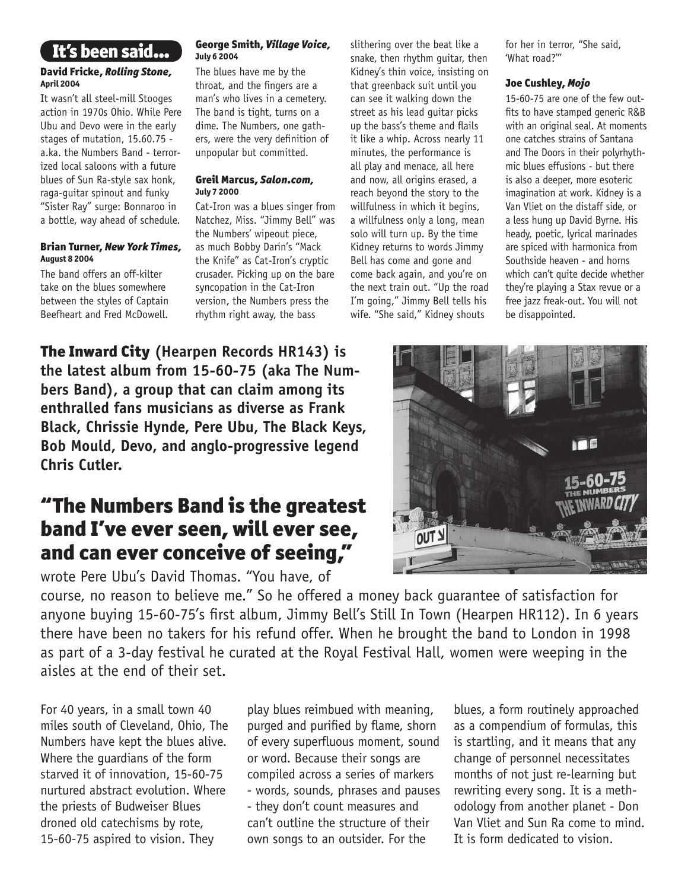## It's been said...

#### David Fricke, *Rolling Stone,* April 2004

It wasn't all steel-mill Stooges action in 1970s Ohio. While Pere Ubu and Devo were in the early stages of mutation, 15.60.75 a.ka. the Numbers Band - terrorized local saloons with a future blues of Sun Ra-style sax honk, raga-guitar spinout and funky "Sister Ray" surge: Bonnaroo in a bottle, way ahead of schedule.

#### Brian Turner, *New York Times,*  August 8 2004

The band offers an off-kilter take on the blues somewhere between the styles of Captain Beefheart and Fred McDowell.

#### George Smith, *Village Voice,*  July 6 2004

The blues have me by the throat, and the fingers are a man's who lives in a cemetery. The band is tight, turns on a dime. The Numbers, one gathers, were the very definition of unpopular but committed.

#### Greil Marcus, *Salon.com,*  July 7 2000

Cat-Iron was a blues singer from Natchez, Miss. "Jimmy Bell" was the Numbers' wipeout piece, as much Bobby Darin's "Mack the Knife" as Cat-Iron's cryptic crusader. Picking up on the bare syncopation in the Cat-Iron version, the Numbers press the rhythm right away, the bass

slithering over the beat like a snake, then rhythm guitar, then Kidney's thin voice, insisting on that greenback suit until you can see it walking down the street as his lead guitar picks up the bass's theme and flails it like a whip. Across nearly 11 minutes, the performance is all play and menace, all here and now, all origins erased, a reach beyond the story to the willfulness in which it begins, a willfulness only a long, mean solo will turn up. By the time Kidney returns to words Jimmy Bell has come and gone and come back again, and you're on the next train out. "Up the road I'm going," Jimmy Bell tells his wife. "She said," Kidney shouts

for her in terror, "She said, 'What road?'"

### Joe Cushley, *Mojo*

15-60-75 are one of the few outfits to have stamped generic R&B with an original seal. At moments one catches strains of Santana and The Doors in their polyrhythmic blues effusions - but there is also a deeper, more esoteric imagination at work. Kidney is a Van Vliet on the distaff side, or a less hung up David Byrne. His heady, poetic, lyrical marinades are spiced with harmonica from Southside heaven - and horns which can't quite decide whether they're playing a Stax revue or a free jazz freak-out. You will not be disappointed.



# "The Numbers Band is the greatest band I've ever seen, will ever see, and can ever conceive of seeing,"

wrote Pere Ubu's David Thomas. "You have, of

course, no reason to believe me." So he offered a money back guarantee of satisfaction for anyone buying 15-60-75's first album, Jimmy Bell's Still In Town (Hearpen HR112). In 6 years there have been no takers for his refund offer. When he brought the band to London in 1998 as part of a 3-day festival he curated at the Royal Festival Hall, women were weeping in the aisles at the end of their set.

For 40 years, in a small town 40 miles south of Cleveland, Ohio, The Numbers have kept the blues alive. Where the guardians of the form starved it of innovation, 15-60-75 nurtured abstract evolution. Where the priests of Budweiser Blues droned old catechisms by rote, 15-60-75 aspired to vision. They

play blues reimbued with meaning, purged and purified by flame, shorn of every superfluous moment, sound or word. Because their songs are compiled across a series of markers - words, sounds, phrases and pauses - they don't count measures and can't outline the structure of their own songs to an outsider. For the

blues, a form routinely approached as a compendium of formulas, this is startling, and it means that any change of personnel necessitates months of not just re-learning but rewriting every song. It is a methodology from another planet - Don Van Vliet and Sun Ra come to mind. It is form dedicated to vision.